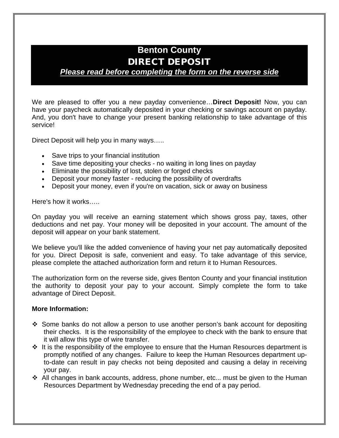## **Benton County** DIRECT DEPOSIT

## *Please read before completing the form on the reverse side*

We are pleased to offer you a new payday convenience…**Direct Deposit!** Now, you can have your paycheck automatically deposited in your checking or savings account on payday. And, you don't have to change your present banking relationship to take advantage of this service!

Direct Deposit will help you in many ways…..

- Save trips to your financial institution
- Save time depositing your checks no waiting in long lines on payday
- Eliminate the possibility of lost, stolen or forged checks
- Deposit your money faster reducing the possibility of overdrafts
- Deposit your money, even if you're on vacation, sick or away on business

Here's how it works…..

On payday you will receive an earning statement which shows gross pay, taxes, other deductions and net pay. Your money will be deposited in your account. The amount of the deposit will appear on your bank statement.

We believe you'll like the added convenience of having your net pay automatically deposited for you. Direct Deposit is safe, convenient and easy. To take advantage of this service, please complete the attached authorization form and return it to Human Resources.

The authorization form on the reverse side, gives Benton County and your financial institution the authority to deposit your pay to your account. Simply complete the form to take advantage of Direct Deposit.

## **More Information:**

- Some banks do not allow a person to use another person's bank account for depositing their checks. It is the responsibility of the employee to check with the bank to ensure that it will allow this type of wire transfer.
- $\div$  It is the responsibility of the employee to ensure that the Human Resources department is promptly notified of any changes. Failure to keep the Human Resources department upto-date can result in pay checks not being deposited and causing a delay in receiving your pay.
- \* All changes in bank accounts, address, phone number, etc... must be given to the Human Resources Department by Wednesday preceding the end of a pay period.